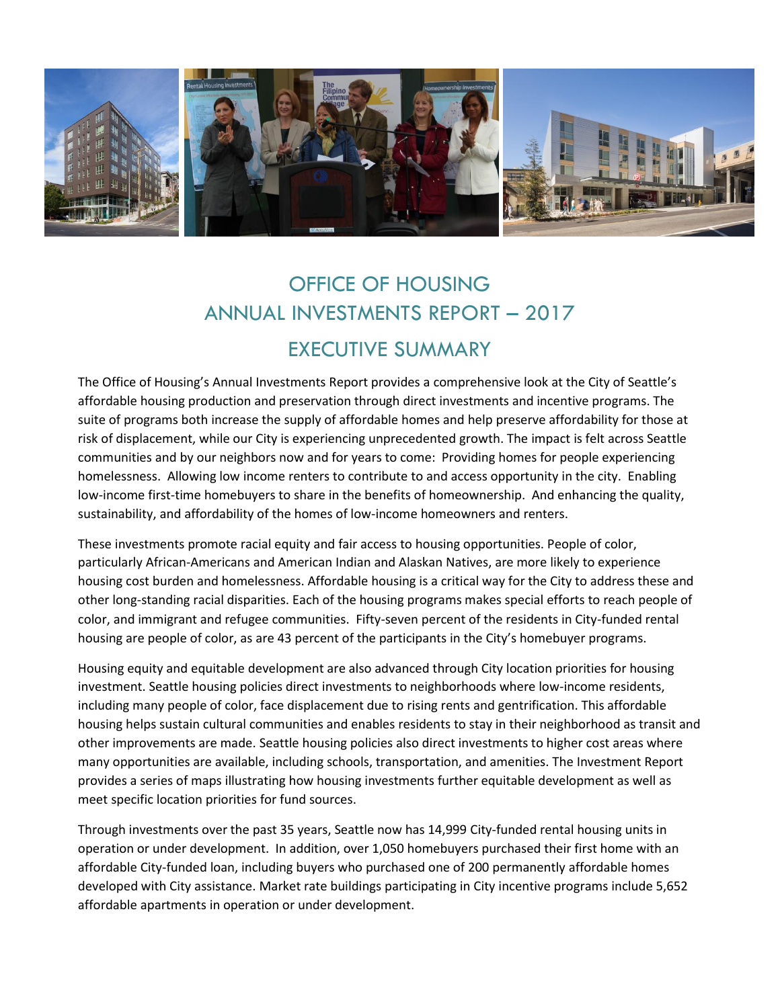

## OFFICE OF HOUSING ANNUAL INVESTMENTS REPORT – 2017 EXECUTIVE SUMMARY

The Office of Housing's Annual Investments Report provides a comprehensive look at the City of Seattle's affordable housing production and preservation through direct investments and incentive programs. The suite of programs both increase the supply of affordable homes and help preserve affordability for those at risk of displacement, while our City is experiencing unprecedented growth. The impact is felt across Seattle communities and by our neighbors now and for years to come: Providing homes for people experiencing homelessness. Allowing low income renters to contribute to and access opportunity in the city. Enabling low-income first-time homebuyers to share in the benefits of homeownership. And enhancing the quality, sustainability, and affordability of the homes of low-income homeowners and renters.

These investments promote racial equity and fair access to housing opportunities. People of color, particularly African-Americans and American Indian and Alaskan Natives, are more likely to experience housing cost burden and homelessness. Affordable housing is a critical way for the City to address these and other long-standing racial disparities. Each of the housing programs makes special efforts to reach people of color, and immigrant and refugee communities. Fifty-seven percent of the residents in City-funded rental housing are people of color, as are 43 percent of the participants in the City's homebuyer programs.

Housing equity and equitable development are also advanced through City location priorities for housing investment. Seattle housing policies direct investments to neighborhoods where low-income residents, including many people of color, face displacement due to rising rents and gentrification. This affordable housing helps sustain cultural communities and enables residents to stay in their neighborhood as transit and other improvements are made. Seattle housing policies also direct investments to higher cost areas where many opportunities are available, including schools, transportation, and amenities. The Investment Report provides a series of maps illustrating how housing investments further equitable development as well as meet specific location priorities for fund sources.

Through investments over the past 35 years, Seattle now has 14,999 City-funded rental housing units in operation or under development. In addition, over 1,050 homebuyers purchased their first home with an affordable City-funded loan, including buyers who purchased one of 200 permanently affordable homes developed with City assistance. Market rate buildings participating in City incentive programs include 5,652 affordable apartments in operation or under development.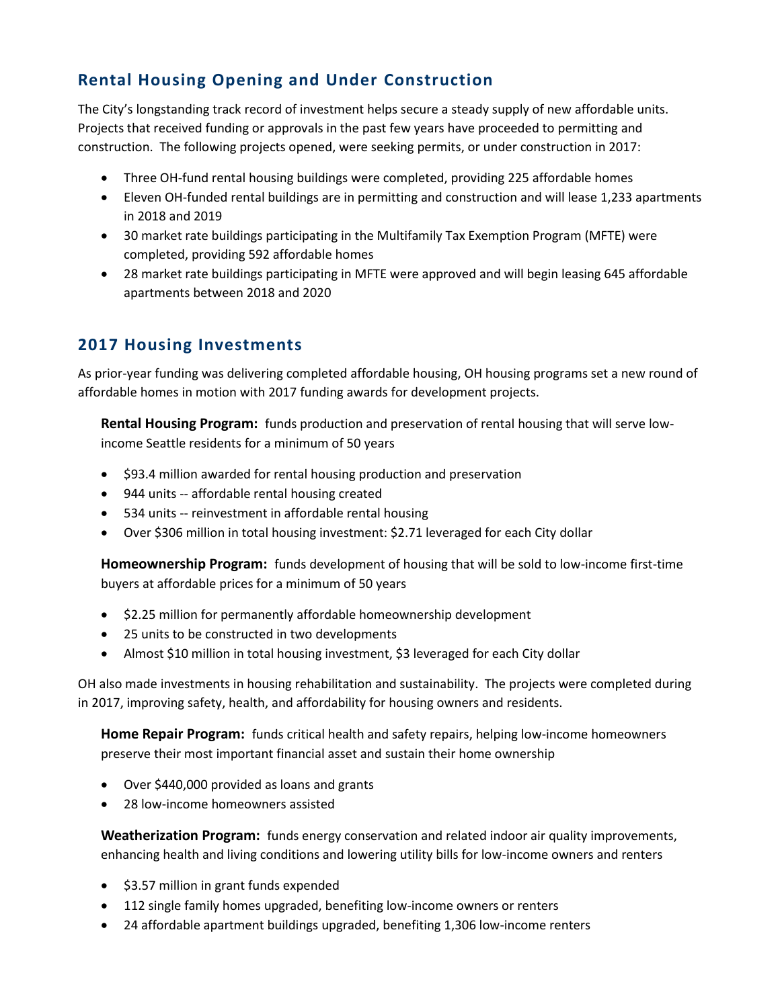## **Rental Housing Opening and Under Construction**

The City's longstanding track record of investment helps secure a steady supply of new affordable units. Projects that received funding or approvals in the past few years have proceeded to permitting and construction. The following projects opened, were seeking permits, or under construction in 2017:

- Three OH-fund rental housing buildings were completed, providing 225 affordable homes
- Eleven OH-funded rental buildings are in permitting and construction and will lease 1,233 apartments in 2018 and 2019
- 30 market rate buildings participating in the Multifamily Tax Exemption Program (MFTE) were completed, providing 592 affordable homes
- 28 market rate buildings participating in MFTE were approved and will begin leasing 645 affordable apartments between 2018 and 2020

## **2017 Housing Investments**

As prior-year funding was delivering completed affordable housing, OH housing programs set a new round of affordable homes in motion with 2017 funding awards for development projects.

**Rental Housing Program:** funds production and preservation of rental housing that will serve lowincome Seattle residents for a minimum of 50 years

- \$93.4 million awarded for rental housing production and preservation
- 944 units -- affordable rental housing created
- 534 units -- reinvestment in affordable rental housing
- Over \$306 million in total housing investment: \$2.71 leveraged for each City dollar

**Homeownership Program:** funds development of housing that will be sold to low-income first-time buyers at affordable prices for a minimum of 50 years

- \$2.25 million for permanently affordable homeownership development
- 25 units to be constructed in two developments
- Almost \$10 million in total housing investment, \$3 leveraged for each City dollar

OH also made investments in housing rehabilitation and sustainability. The projects were completed during in 2017, improving safety, health, and affordability for housing owners and residents.

**Home Repair Program:** funds critical health and safety repairs, helping low-income homeowners preserve their most important financial asset and sustain their home ownership

- Over \$440,000 provided as loans and grants
- 28 low-income homeowners assisted

**Weatherization Program:** funds energy conservation and related indoor air quality improvements, enhancing health and living conditions and lowering utility bills for low-income owners and renters

- \$3.57 million in grant funds expended
- 112 single family homes upgraded, benefiting low-income owners or renters
- 24 affordable apartment buildings upgraded, benefiting 1,306 low-income renters